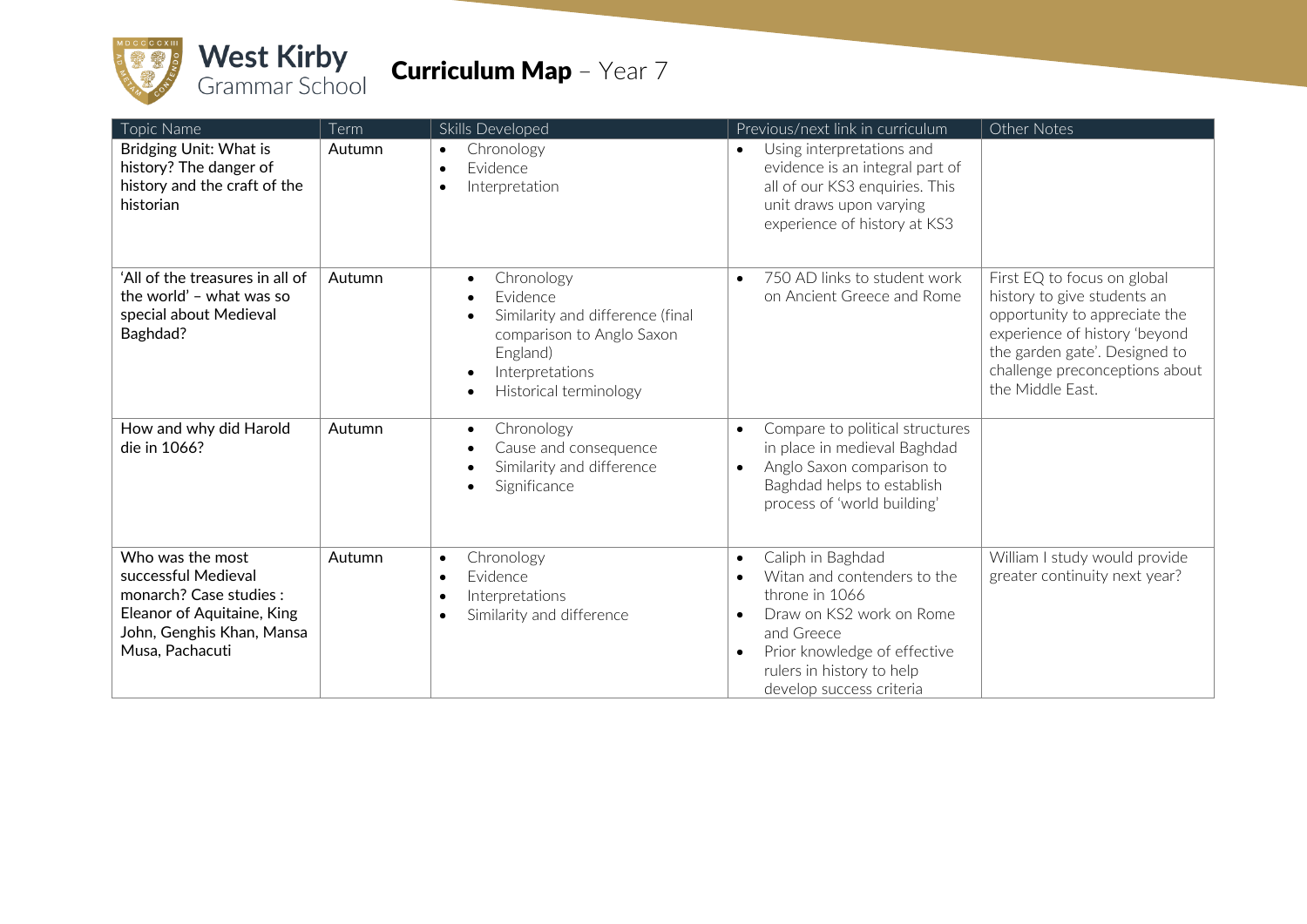

| Topic Name                                                                                                                                       | Term   | Skills Developed                                                                                                                                 | Previous/next link in curriculum                                                                                                                                                                                                                          | Other Notes                                                                                                                                                                                                         |
|--------------------------------------------------------------------------------------------------------------------------------------------------|--------|--------------------------------------------------------------------------------------------------------------------------------------------------|-----------------------------------------------------------------------------------------------------------------------------------------------------------------------------------------------------------------------------------------------------------|---------------------------------------------------------------------------------------------------------------------------------------------------------------------------------------------------------------------|
| Bridging Unit: What is<br>history? The danger of<br>history and the craft of the<br>historian                                                    | Autumn | Chronology<br>$\bullet$<br>Evidence<br>$\bullet$<br>Interpretation<br>$\bullet$                                                                  | Using interpretations and<br>$\bullet$<br>evidence is an integral part of<br>all of our KS3 enquiries. This<br>unit draws upon varying<br>experience of history at KS3                                                                                    |                                                                                                                                                                                                                     |
| 'All of the treasures in all of<br>the world' - what was so<br>special about Medieval<br>Baghdad?                                                | Autumn | Chronology<br>Evidence<br>Similarity and difference (final<br>comparison to Anglo Saxon<br>England)<br>Interpretations<br>Historical terminology | 750 AD links to student work<br>$\bullet$<br>on Ancient Greece and Rome                                                                                                                                                                                   | First EQ to focus on global<br>history to give students an<br>opportunity to appreciate the<br>experience of history 'beyond<br>the garden gate'. Designed to<br>challenge preconceptions about<br>the Middle East. |
| How and why did Harold<br>die in 1066?                                                                                                           | Autumn | Chronology<br>٠<br>Cause and consequence<br>Similarity and difference<br>Significance                                                            | Compare to political structures<br>$\bullet$<br>in place in medieval Baghdad<br>Anglo Saxon comparison to<br>$\bullet$<br>Baghdad helps to establish<br>process of 'world building'                                                                       |                                                                                                                                                                                                                     |
| Who was the most<br>successful Medieval<br>monarch? Case studies :<br>Eleanor of Aquitaine, King<br>John, Genghis Khan, Mansa<br>Musa, Pachacuti | Autumn | Chronology<br>$\bullet$<br>Evidence<br>$\bullet$<br>Interpretations<br>$\bullet$<br>Similarity and difference<br>٠                               | Caliph in Baghdad<br>$\bullet$<br>Witan and contenders to the<br>$\bullet$<br>throne in 1066<br>Draw on KS2 work on Rome<br>$\bullet$<br>and Greece<br>Prior knowledge of effective<br>$\bullet$<br>rulers in history to help<br>develop success criteria | William I study would provide<br>greater continuity next year?                                                                                                                                                      |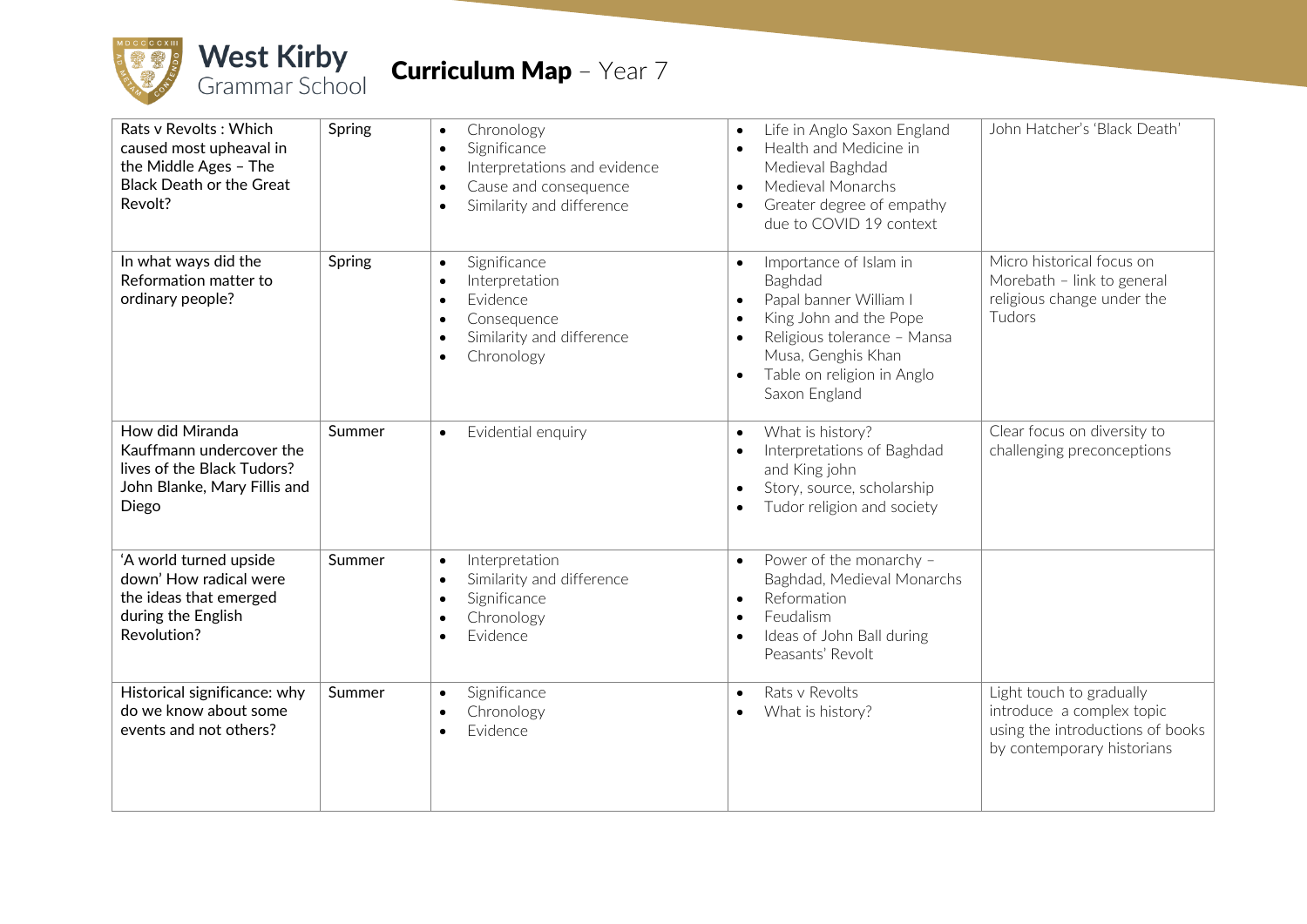

| Rats v Revolts: Which<br>caused most upheaval in<br>the Middle Ages - The<br><b>Black Death or the Great</b><br>Revolt? | Spring | Chronology<br>$\bullet$<br>Significance<br>$\bullet$<br>Interpretations and evidence<br>$\bullet$<br>Cause and consequence<br>$\bullet$<br>Similarity and difference<br>$\bullet$  | Life in Anglo Saxon England<br>$\bullet$<br>Health and Medicine in<br>$\bullet$<br>Medieval Baghdad<br>Medieval Monarchs<br>$\bullet$<br>Greater degree of empathy<br>$\bullet$<br>due to COVID 19 context                                                 | John Hatcher's 'Black Death'                                                                                            |
|-------------------------------------------------------------------------------------------------------------------------|--------|------------------------------------------------------------------------------------------------------------------------------------------------------------------------------------|------------------------------------------------------------------------------------------------------------------------------------------------------------------------------------------------------------------------------------------------------------|-------------------------------------------------------------------------------------------------------------------------|
| In what ways did the<br>Reformation matter to<br>ordinary people?                                                       | Spring | Significance<br>$\bullet$<br>Interpretation<br>$\bullet$<br>Evidence<br>$\bullet$<br>Consequence<br>$\bullet$<br>Similarity and difference<br>$\bullet$<br>Chronology<br>$\bullet$ | Importance of Islam in<br>$\bullet$<br>Baghdad<br>Papal banner William I<br>$\bullet$<br>King John and the Pope<br>$\bullet$<br>Religious tolerance - Mansa<br>$\bullet$<br>Musa, Genghis Khan<br>Table on religion in Anglo<br>$\bullet$<br>Saxon England | Micro historical focus on<br>Morebath - link to general<br>religious change under the<br>Tudors                         |
| How did Miranda<br>Kauffmann undercover the<br>lives of the Black Tudors?<br>John Blanke, Mary Fillis and<br>Diego      | Summer | Evidential enquiry<br>$\bullet$                                                                                                                                                    | What is history?<br>$\bullet$<br>Interpretations of Baghdad<br>$\bullet$<br>and King john<br>Story, source, scholarship<br>$\bullet$<br>Tudor religion and society<br>$\bullet$                                                                            | Clear focus on diversity to<br>challenging preconceptions                                                               |
| 'A world turned upside<br>down' How radical were<br>the ideas that emerged<br>during the English<br>Revolution?         | Summer | Interpretation<br>$\bullet$<br>Similarity and difference<br>$\bullet$<br>Significance<br>$\bullet$<br>Chronology<br>$\bullet$<br>Evidence                                          | Power of the monarchy -<br>$\bullet$<br>Baghdad, Medieval Monarchs<br>Reformation<br>$\bullet$<br>Feudalism<br>$\bullet$<br>Ideas of John Ball during<br>$\bullet$<br>Peasants' Revolt                                                                     |                                                                                                                         |
| Historical significance: why<br>do we know about some<br>events and not others?                                         | Summer | Significance<br>$\bullet$<br>Chronology<br>$\bullet$<br>Evidence                                                                                                                   | Rats v Revolts<br>$\bullet$<br>What is history?                                                                                                                                                                                                            | Light touch to gradually<br>introduce a complex topic<br>using the introductions of books<br>by contemporary historians |